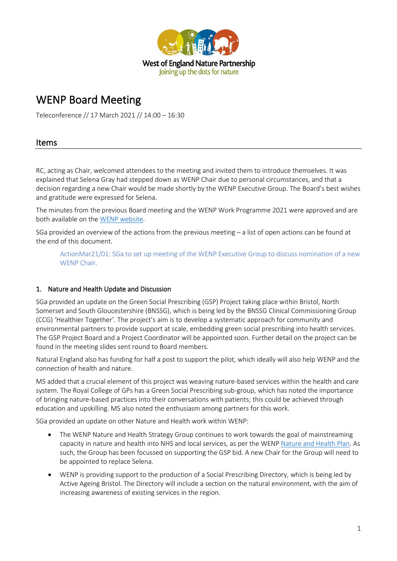

# WENP Board Meeting

Teleconference // 17 March 2021 // 14:00 – 16:30

# Items

RC, acting as Chair, welcomed attendees to the meeting and invited them to introduce themselves. It was explained that Selena Gray had stepped down as WENP Chair due to personal circumstances, and that a decision regarding a new Chair would be made shortly by the WENP Executive Group. The Board's best wishes and gratitude were expressed for Selena.

The minutes from the previous Board meeting and the WENP Work Programme 2021 were approved and are both available on the [WENP website.](https://www.wenp.org.uk/)

SGa provided an overview of the actions from the previous meeting – a list of open actions can be found at the end of this document.

ActionMar21/01: SGa to set up meeting of the WENP Executive Group to discuss nomination of a new WENP Chair.

## 1. Nature and Health Update and Discussion

SGa provided an update on the Green Social Prescribing (GSP) Project taking place within Bristol, North Somerset and South Gloucestershire (BNSSG), which is being led by the BNSSG Clinical Commissioning Group (CCG) 'Healthier Together'. The project's aim is to develop a systematic approach for community and environmental partners to provide support at scale, embedding green social prescribing into health services. The GSP Project Board and a Project Coordinator will be appointed soon. Further detail on the project can be found in the meeting slides sent round to Board members.

Natural England also has funding for half a post to support the pilot, which ideally will also help WENP and the connection of health and nature.

MS added that a crucial element of this project was weaving nature-based services within the health and care system. The Royal College of GPs has a Green Social Prescribing sub-group, which has noted the importance of bringing nature-based practices into their conversations with patients; this could be achieved through education and upskilling. MS also noted the enthusiasm among partners for this work.

SGa provided an update on other Nature and Health work within WENP:

- The WENP Nature and Health Strategy Group continues to work towards the goal of mainstreaming capacity in nature and health into NHS and local services, as per the WENP [Nature and Health Plan.](https://wenp.org.uk/wp-content/uploads/2019/10/Nature-Health-in-the-West-of-England.pdf) As such, the Group has been focussed on supporting the GSP bid. A new Chair for the Group will need to be appointed to replace Selena.
- WENP is providing support to the production of a Social Prescribing Directory, which is being led by Active Ageing Bristol. The Directory will include a section on the natural environment, with the aim of increasing awareness of existing services in the region.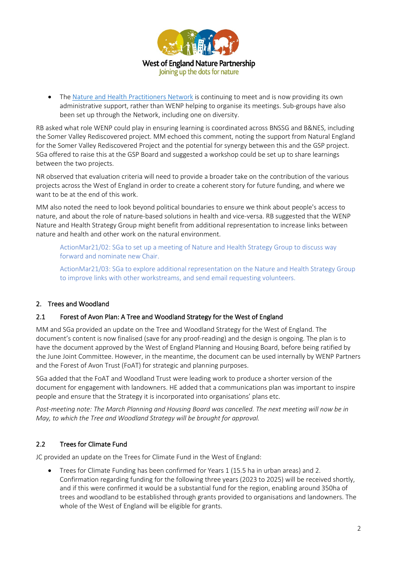

• Th[e Nature and Health Practitioners Network](https://www.natureandhealthpractitioners.com/) is continuing to meet and is now providing its own administrative support, rather than WENP helping to organise its meetings. Sub-groups have also been set up through the Network, including one on diversity.

RB asked what role WENP could play in ensuring learning is coordinated across BNSSG and B&NES, including the Somer Valley Rediscovered project. MM echoed this comment, noting the support from Natural England for the Somer Valley Rediscovered Project and the potential for synergy between this and the GSP project. SGa offered to raise this at the GSP Board and suggested a workshop could be set up to share learnings between the two projects.

NR observed that evaluation criteria will need to provide a broader take on the contribution of the various projects across the West of England in order to create a coherent story for future funding, and where we want to be at the end of this work.

MM also noted the need to look beyond political boundaries to ensure we think about people's access to nature, and about the role of nature-based solutions in health and vice-versa. RB suggested that the WENP Nature and Health Strategy Group might benefit from additional representation to increase links between nature and health and other work on the natural environment.

ActionMar21/02: SGa to set up a meeting of Nature and Health Strategy Group to discuss way forward and nominate new Chair.

ActionMar21/03: SGa to explore additional representation on the Nature and Health Strategy Group to improve links with other workstreams, and send email requesting volunteers.

## 2. Trees and Woodland

#### 2.1 Forest of Avon Plan: A Tree and Woodland Strategy for the West of England

MM and SGa provided an update on the Tree and Woodland Strategy for the West of England. The document's content is now finalised (save for any proof-reading) and the design is ongoing. The plan is to have the document approved by the West of England Planning and Housing Board, before being ratified by the June Joint Committee. However, in the meantime, the document can be used internally by WENP Partners and the Forest of Avon Trust (FoAT) for strategic and planning purposes.

SGa added that the FoAT and Woodland Trust were leading work to produce a shorter version of the document for engagement with landowners. HE added that a communications plan was important to inspire people and ensure that the Strategy it is incorporated into organisations' plans etc.

*Post-meeting note: The March Planning and Housing Board was cancelled. The next meeting will now be in May, to which the Tree and Woodland Strategy will be brought for approval.*

## 2.2 Trees for Climate Fund

JC provided an update on the Trees for Climate Fund in the West of England:

• Trees for Climate Funding has been confirmed for Years 1 (15.5 ha in urban areas) and 2. Confirmation regarding funding for the following three years (2023 to 2025) will be received shortly, and if this were confirmed it would be a substantial fund for the region, enabling around 350ha of trees and woodland to be established through grants provided to organisations and landowners. The whole of the West of England will be eligible for grants.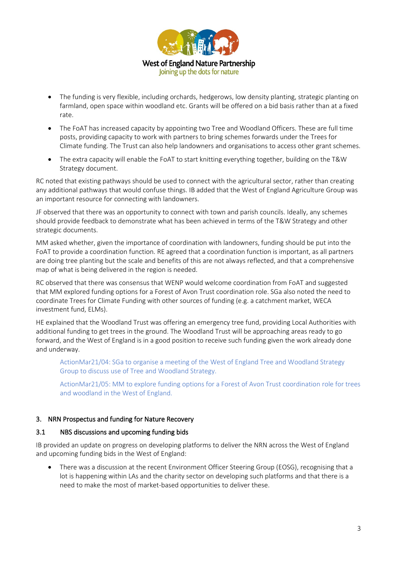

- The funding is very flexible, including orchards, hedgerows, low density planting, strategic planting on farmland, open space within woodland etc. Grants will be offered on a bid basis rather than at a fixed rate.
- The FoAT has increased capacity by appointing two Tree and Woodland Officers. These are full time posts, providing capacity to work with partners to bring schemes forwards under the Trees for Climate funding. The Trust can also help landowners and organisations to access other grant schemes.
- The extra capacity will enable the FoAT to start knitting everything together, building on the T&W Strategy document.

RC noted that existing pathways should be used to connect with the agricultural sector, rather than creating any additional pathways that would confuse things. IB added that the West of England Agriculture Group was an important resource for connecting with landowners.

JF observed that there was an opportunity to connect with town and parish councils. Ideally, any schemes should provide feedback to demonstrate what has been achieved in terms of the T&W Strategy and other strategic documents.

MM asked whether, given the importance of coordination with landowners, funding should be put into the FoAT to provide a coordination function. RE agreed that a coordination function is important, as all partners are doing tree planting but the scale and benefits of this are not always reflected, and that a comprehensive map of what is being delivered in the region is needed.

RC observed that there was consensus that WENP would welcome coordination from FoAT and suggested that MM explored funding options for a Forest of Avon Trust coordination role. SGa also noted the need to coordinate Trees for Climate Funding with other sources of funding (e.g. a catchment market, WECA investment fund, ELMs).

HE explained that the Woodland Trust was offering an emergency tree fund, providing Local Authorities with additional funding to get trees in the ground. The Woodland Trust will be approaching areas ready to go forward, and the West of England is in a good position to receive such funding given the work already done and underway.

ActionMar21/04: SGa to organise a meeting of the West of England Tree and Woodland Strategy Group to discuss use of Tree and Woodland Strategy.

ActionMar21/05: MM to explore funding options for a Forest of Avon Trust coordination role for trees and woodland in the West of England.

#### 3. NRN Prospectus and funding for Nature Recovery

#### 3.1 NBS discussions and upcoming funding bids

IB provided an update on progress on developing platforms to deliver the NRN across the West of England and upcoming funding bids in the West of England:

• There was a discussion at the recent Environment Officer Steering Group (EOSG), recognising that a lot is happening within LAs and the charity sector on developing such platforms and that there is a need to make the most of market-based opportunities to deliver these.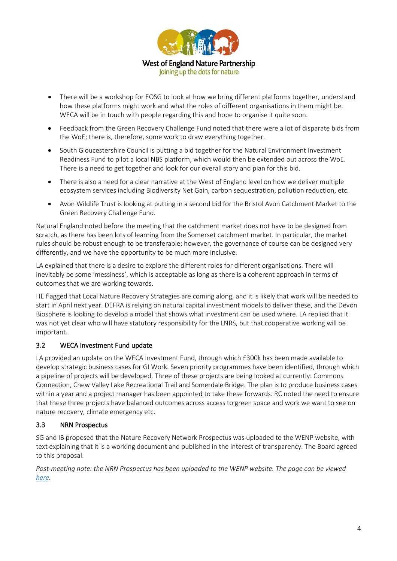

- There will be a workshop for EOSG to look at how we bring different platforms together, understand how these platforms might work and what the roles of different organisations in them might be. WECA will be in touch with people regarding this and hope to organise it quite soon.
- Feedback from the Green Recovery Challenge Fund noted that there were a lot of disparate bids from the WoE; there is, therefore, some work to draw everything together.
- South Gloucestershire Council is putting a bid together for the Natural Environment Investment Readiness Fund to pilot a local NBS platform, which would then be extended out across the WoE. There is a need to get together and look for our overall story and plan for this bid.
- There is also a need for a clear narrative at the West of England level on how we deliver multiple ecosystem services including Biodiversity Net Gain, carbon sequestration, pollution reduction, etc.
- Avon Wildlife Trust is looking at putting in a second bid for the Bristol Avon Catchment Market to the Green Recovery Challenge Fund.

Natural England noted before the meeting that the catchment market does not have to be designed from scratch, as there has been lots of learning from the Somerset catchment market. In particular, the market rules should be robust enough to be transferable; however, the governance of course can be designed very differently, and we have the opportunity to be much more inclusive.

LA explained that there is a desire to explore the different roles for different organisations. There will inevitably be some 'messiness', which is acceptable as long as there is a coherent approach in terms of outcomes that we are working towards.

HE flagged that Local Nature Recovery Strategies are coming along, and it is likely that work will be needed to start in April next year. DEFRA is relying on natural capital investment models to deliver these, and the Devon Biosphere is looking to develop a model that shows what investment can be used where. LA replied that it was not yet clear who will have statutory responsibility for the LNRS, but that cooperative working will be important.

# 3.2 WECA Investment Fund update

LA provided an update on the WECA Investment Fund, through which £300k has been made available to develop strategic business cases for GI Work. Seven priority programmes have been identified, through which a pipeline of projects will be developed. Three of these projects are being looked at currently: Commons Connection, Chew Valley Lake Recreational Trail and Somerdale Bridge. The plan is to produce business cases within a year and a project manager has been appointed to take these forwards. RC noted the need to ensure that these three projects have balanced outcomes across access to green space and work we want to see on nature recovery, climate emergency etc.

## 3.3 NRN Prospectus

SG and IB proposed that the Nature Recovery Network Prospectus was uploaded to the WENP website, with text explaining that it is a working document and published in the interest of transparency. The Board agreed to this proposal.

*Post-meeting note: the NRN Prospectus has been uploaded to the WENP website. The page can be viewed [here.](https://www.wenp.org.uk/nature-recovery-network-prospectus/)*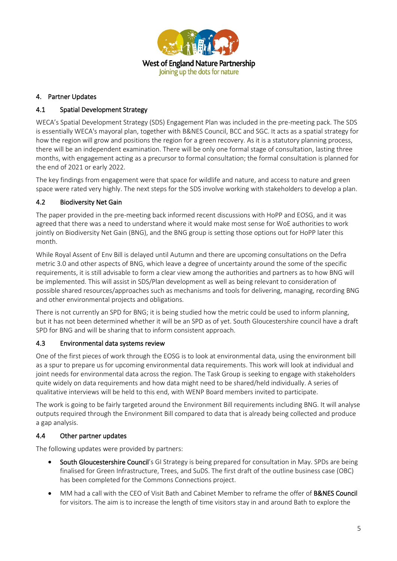

#### 4. Partner Updates

## 4.1 Spatial Development Strategy

WECA's Spatial Development Strategy (SDS) Engagement Plan was included in the pre-meeting pack. The SDS is essentially WECA's mayoral plan, together with B&NES Council, BCC and SGC. It acts as a spatial strategy for how the region will grow and positions the region for a green recovery. As it is a statutory planning process, there will be an independent examination. There will be only one formal stage of consultation, lasting three months, with engagement acting as a precursor to formal consultation; the formal consultation is planned for the end of 2021 or early 2022.

The key findings from engagement were that space for wildlife and nature, and access to nature and green space were rated very highly. The next steps for the SDS involve working with stakeholders to develop a plan.

## 4.2 Biodiversity Net Gain

The paper provided in the pre-meeting back informed recent discussions with HoPP and EOSG, and it was agreed that there was a need to understand where it would make most sense for WoE authorities to work jointly on Biodiversity Net Gain (BNG), and the BNG group is setting those options out for HoPP later this month.

While Royal Assent of Env Bill is delayed until Autumn and there are upcoming consultations on the Defra metric 3.0 and other aspects of BNG, which leave a degree of uncertainty around the some of the specific requirements, it is still advisable to form a clear view among the authorities and partners as to how BNG will be implemented. This will assist in SDS/Plan development as well as being relevant to consideration of possible shared resources/approaches such as mechanisms and tools for delivering, managing, recording BNG and other environmental projects and obligations.

There is not currently an SPD for BNG; it is being studied how the metric could be used to inform planning, but it has not been determined whether it will be an SPD as of yet. South Gloucestershire council have a draft SPD for BNG and will be sharing that to inform consistent approach.

#### 4.3 Environmental data systems review

One of the first pieces of work through the EOSG is to look at environmental data, using the environment bill as a spur to prepare us for upcoming environmental data requirements. This work will look at individual and joint needs for environmental data across the region. The Task Group is seeking to engage with stakeholders quite widely on data requirements and how data might need to be shared/held individually. A series of qualitative interviews will be held to this end, with WENP Board members invited to participate.

The work is going to be fairly targeted around the Environment Bill requirements including BNG. It will analyse outputs required through the Environment Bill compared to data that is already being collected and produce a gap analysis.

## 4.4 Other partner updates

The following updates were provided by partners:

- South Gloucestershire Council's GI Strategy is being prepared for consultation in May. SPDs are being finalised for Green Infrastructure, Trees, and SuDS. The first draft of the outline business case (OBC) has been completed for the Commons Connections project.
- MM had a call with the CEO of Visit Bath and Cabinet Member to reframe the offer of **B&NES Council** for visitors. The aim is to increase the length of time visitors stay in and around Bath to explore the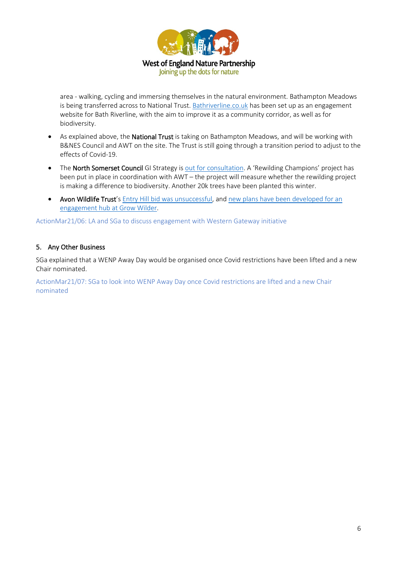

area - walking, cycling and immersing themselves in the natural environment. Bathampton Meadows is being transferred across to National Trust[. Bathriverline.co.uk](https://bathriverline.co.uk/) has been set up as an engagement website for Bath Riverline, with the aim to improve it as a community corridor, as well as for biodiversity.

- As explained above, the **National Trust** is taking on Bathampton Meadows, and will be working with B&NES Council and AWT on the site. The Trust is still going through a transition period to adjust to the effects of Covid-19.
- The North Somerset Council GI Strategy is [out for consultation.](https://www.n-somerset.gov.uk/my-services/libraries-leisure-open-spaces/parks-countryside/green-infrastructure-strategy) A 'Rewilding Champions' project has been put in place in coordination with AWT – the project will measure whether the rewilding project is making a difference to biodiversity. Another 20k trees have been planted this winter.
- Avon Wildlife Trust's [Entry Hill bid was unsuccessful,](https://www.avonwildlifetrust.org.uk/news) and [new plans have been developed for an](https://www.avonwildlifetrust.org.uk/news/transforming-grow-wilder-take-action-wildlife)  [engagement hub at Grow Wilder.](https://www.avonwildlifetrust.org.uk/news/transforming-grow-wilder-take-action-wildlife)

ActionMar21/06: LA and SGa to discuss engagement with Western Gateway initiative

#### 5. Any Other Business

SGa explained that a WENP Away Day would be organised once Covid restrictions have been lifted and a new Chair nominated.

ActionMar21/07: SGa to look into WENP Away Day once Covid restrictions are lifted and a new Chair nominated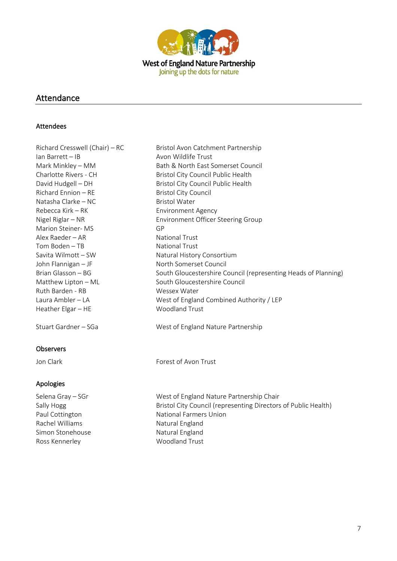

# Attendance

#### Attendees

| Richard Cresswell (Chair) - RC | Bristol Avon Catchment Partnership                             |  |
|--------------------------------|----------------------------------------------------------------|--|
| Ian Barrett - IB               | Avon Wildlife Trust                                            |  |
| Mark Minkley - MM              | Bath & North East Somerset Council                             |  |
| Charlotte Rivers - CH          | Bristol City Council Public Health                             |  |
| David Hudgell - DH             | Bristol City Council Public Health                             |  |
| Richard Ennion - RE            | <b>Bristol City Council</b>                                    |  |
| Natasha Clarke - NC            | <b>Bristol Water</b>                                           |  |
| Rebecca Kirk – RK              | <b>Environment Agency</b>                                      |  |
| Nigel Riglar - NR              | Environment Officer Steering Group                             |  |
| Marion Steiner-MS              | GP                                                             |  |
| Alex Raeder - AR               | <b>National Trust</b>                                          |  |
| Tom Boden - TB                 | <b>National Trust</b>                                          |  |
| Savita Wilmott-SW              | Natural History Consortium                                     |  |
| John Flannigan - JF            | North Somerset Council                                         |  |
| Brian Glasson - BG             | South Gloucestershire Council (representing Heads of Planning) |  |
| Matthew Lipton - ML            | South Gloucestershire Council                                  |  |
| Ruth Barden - RB               | Wessex Water                                                   |  |
| Laura Ambler - LA              | West of England Combined Authority / LEP                       |  |
| Heather Elgar - HE             | Woodland Trust                                                 |  |
| Stuart Gardner - SGa           | West of England Nature Partnership                             |  |
| <b>Observers</b>               |                                                                |  |
| Jon Clark                      | Forest of Avon Trust                                           |  |
| Apologies                      |                                                                |  |

Rachel Williams Natural England Simon Stonehouse Natural England

Selena Gray – SGr Selena Gray – SGr New Yest of England Nature Partnership Chair Sally Hogg Bristol City Council (representing Directors of Public Health) Paul Cottington National Farmers Union Ross Kennerley Woodland Trust